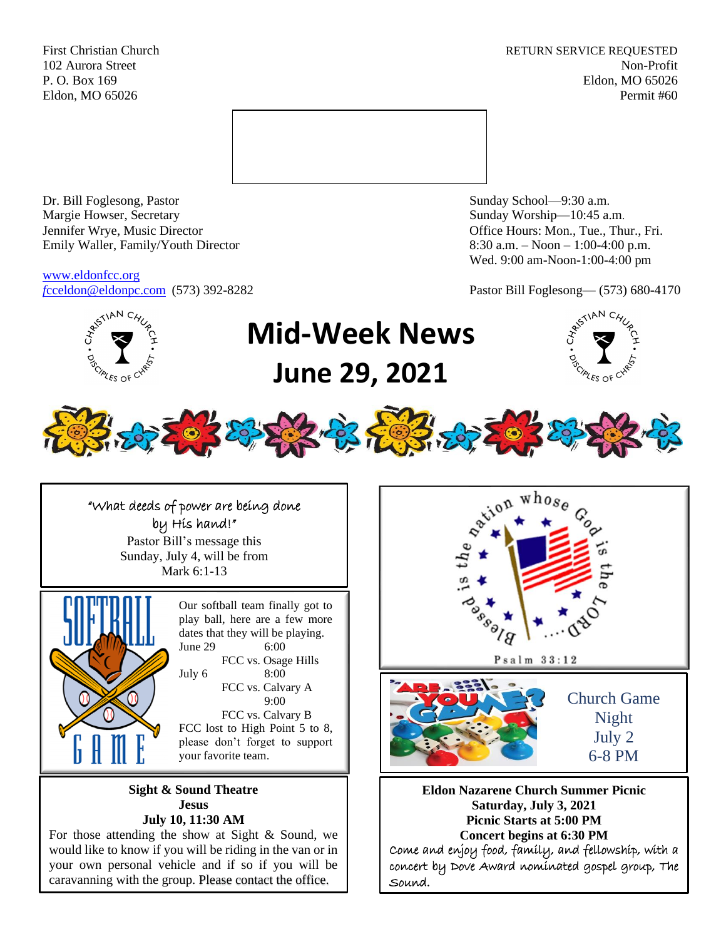First Christian Church **RETURN SERVICE REQUESTED** 102 Aurora Street Non-Profit P. O. Box 169 Eldon, MO 65026 Eldon, MO 65026 Permit #60



Dr. Bill Foglesong, Pastor Sunday School—9:30 a.m. Margie Howser, Secretary Sunday Worship—10:45 a.m. Jennifer Wrye, Music Director Office Hours: Mon., Tue., Thur., Fri. Emily Waller, Family/Youth Director 8:30 a.m. – Noon – 1:00-4:00 p.m.

[www.eldonfcc.org](http://www.eldonfcc.org/)

AN<sub>C</sub>

Wed. 9:00 am-Noon-1:00-4:00 pm

*f*[cceldon@eldonpc.com](mailto:fcceldon@eldonpc.com) (573) 392-8282 Pastor Bill Foglesong— (573) 680-4170



"What deeds of power are being done by His hand!" Pastor Bill's message this Sunday, July 4, will be from Mark 6:1-13



Our softball team finally got to play ball, here are a few more dates that they will be playing. June 29 6:00 FCC vs. Osage Hills July 6 8:00 FCC vs. Calvary A 9:00 FCC vs. Calvary B FCC lost to High Point 5 to 8, please don't forget to support your favorite team.

**Sight & Sound Theatre Jesus July 10, 11:30 AM**

For those attending the show at Sight  $&$  Sound, we would like to know if you will be riding in the van or in your own personal vehicle and if so if you will be caravanning with the group. Please contact the office.



**Eldon Nazarene Church Summer Picnic Saturday, July 3, 2021 Picnic Starts at 5:00 PM Concert begins at 6:30 PM** Come and enjoy food, family, and fellowship, with a concert by Dove Award nominated gospel group, The Sound.